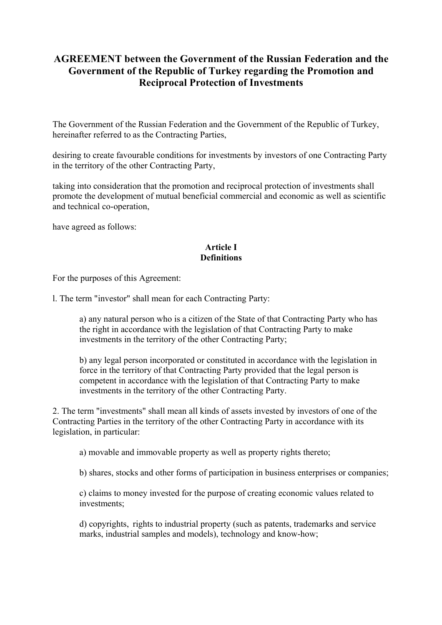# **AGREEMENT between the Government of the Russian Federation and the Government of the Republic of Turkey regarding the Promotion and Reciprocal Protection of Investments**

The Government of the Russian Federation and the Government of the Republic of Turkey, hereinafter referred to as the Contracting Parties,

desiring to create favourable conditions for investments by investors of one Contracting Party in the territory of the other Contracting Party,

taking into consideration that the promotion and reciprocal protection of investments shall promote the development of mutual beneficial commercial and economic as well as scientific and technical co-operation,

have agreed as follows:

## **Article I Definitions**

For the purposes of this Agreement:

l. The term "investor" shall mean for each Contracting Party:

a) any natural person who is a citizen of the State of that Contracting Party who has the right in accordance with the legislation of that Contracting Party to make investments in the territory of the other Contracting Party;

b) any legal person incorporated or constituted in accordance with the legislation in force in the territory of that Contracting Party provided that the legal person is competent in accordance with the legislation of that Contracting Party to make investments in the territory of the other Contracting Party.

2. The term "investments" shall mean all kinds of assets invested by investors of one of the Contracting Parties in the territory of the other Contracting Party in accordance with its legislation, in particular:

a) movable and immovable property as well as property rights thereto;

b) shares, stocks and other forms of participation in business enterprises or companies;

c) claims to money invested for the purpose of creating economic values related to investments;

d) copyrights, rights to industrial property (such as patents, trademarks and service marks, industrial samples and models), technology and know-how;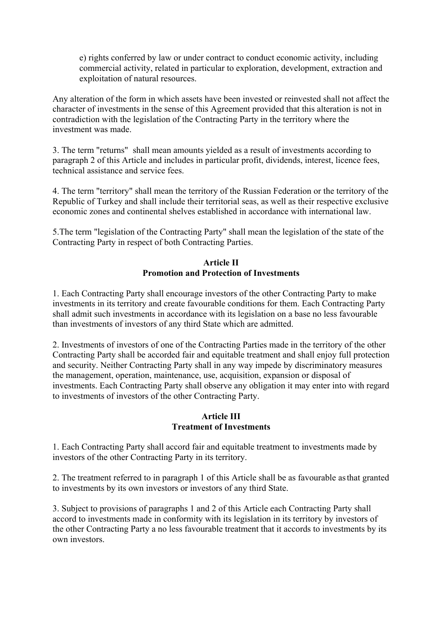e) rights conferred by law or under contract to conduct economic activity, including commercial activity, related in particular to exploration, development, extraction and exploitation of natural resources.

Any alteration of the form in which assets have been invested or reinvested shall not affect the character of investments in the sense of this Agreement provided that this alteration is not in contradiction with the legislation of the Contracting Party in the territory where the investment was made.

3. The term "returns" shall mean amounts yielded as a result of investments according to paragraph 2 of this Article and includes in particular profit, dividends, interest, licence fees, technical assistance and service fees.

4. The term "territory" shall mean the territory of the Russian Federation or the territory of the Republic of Turkey and shall include their territorial seas, as well as their respective exclusive economic zones and continental shelves established in accordance with international law.

5.The term "legislation of the Contracting Party" shall mean the legislation of the state of the Contracting Party in respect of both Contracting Parties.

## **Article II Promotion and Protection of Investments**

1. Each Contracting Party shall encourage investors of the other Contracting Party to make investments in its territory and create favourable conditions for them. Each Contracting Party shall admit such investments in accordance with its legislation on a base no less favourable than investments of investors of any third State which are admitted.

2. Investments of investors of one of the Contracting Parties made in the territory of the other Contracting Party shall be accorded fair and equitable treatment and shall enjoy full protection and security. Neither Contracting Party shall in any way impede by discriminatory measures the management, operation, maintenance, use, acquisition, expansion or disposal of investments. Each Contracting Party shall observe any obligation it may enter into with regard to investments of investors of the other Contracting Party.

# **Article III Treatment of Investments**

1. Each Contracting Party shall accord fair and equitable treatment to investments made by investors of the other Contracting Party in its territory.

2. The treatment referred to in paragraph 1 of this Article shall be as favourable as that granted to investments by its own investors or investors of any third State.

3. Subject to provisions of paragraphs 1 and 2 of this Article each Contracting Party shall accord to investments made in conformity with its legislation in its territory by investors of the other Contracting Party a no less favourable treatment that it accords to investments by its own investors.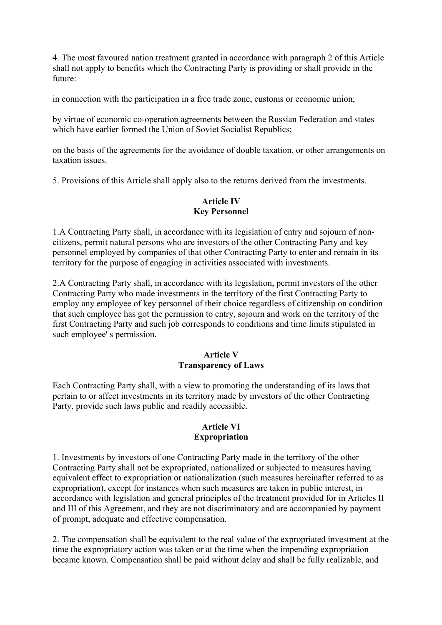4. The most favoured nation treatment granted in accordance with paragraph 2 of this Article shall not apply to benefits which the Contracting Party is providing or shall provide in the future:

in connection with the participation in a free trade zone, customs or economic union;

by virtue of economic co-operation agreements between the Russian Federation and states which have earlier formed the Union of Soviet Socialist Republics;

on the basis of the agreements for the avoidance of double taxation, or other arrangements on taxation issues.

5. Provisions of this Article shall apply also to the returns derived from the investments.

#### **Article IV Key Personnel**

1.A Contracting Party shall, in accordance with its legislation of entry and sojourn of noncitizens, permit natural persons who are investors of the other Contracting Party and key personnel employed by companies of that other Contracting Party to enter and remain in its territory for the purpose of engaging in activities associated with investments.

2.A Contracting Party shall, in accordance with its legislation, permit investors of the other Contracting Party who made investments in the territory of the first Contracting Party to employ any employee of key personnel of their choice regardless of citizenship on condition that such employee has got the permission to entry, sojourn and work on the territory of the first Contracting Party and such job corresponds to conditions and time limits stipulated in such employee' s permission.

#### **Article V Transparency of Laws**

Each Contracting Party shall, with a view to promoting the understanding of its laws that pertain to or affect investments in its territory made by investors of the other Contracting Party, provide such laws public and readily accessible.

### **Article VI Expropriation**

1. Investments by investors of one Contracting Party made in the territory of the other Contracting Party shall not be expropriated, nationalized or subjected to measures having equivalent effect to expropriation or nationalization (such measures hereinafter referred to as expropriation), except for instances when such measures are taken in public interest, in accordance with legislation and general principles of the treatment provided for in Articles II and III of this Agreement, and they are not discriminatory and are accompanied by payment of prompt, adequate and effective compensation.

2. The compensation shall be equivalent to the real value of the expropriated investment at the time the expropriatory action was taken or at the time when the impending expropriation became known. Compensation shall be paid without delay and shall be fully realizable, and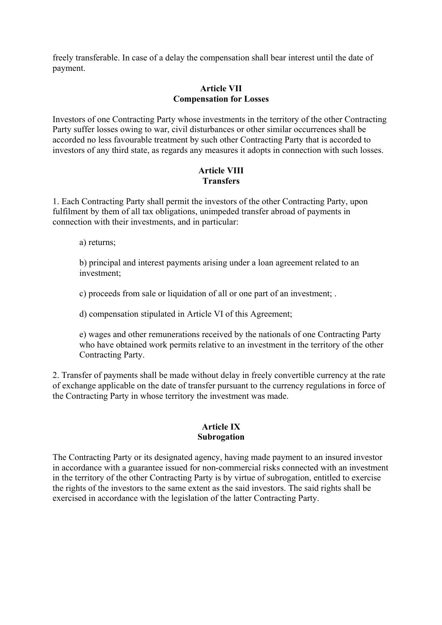freely transferable. In case of a delay the compensation shall bear interest until the date of payment.

# **Article VII Compensation for Losses**

Investors of one Contracting Party whose investments in the territory of the other Contracting Party suffer losses owing to war, civil disturbances or other similar occurrences shall be accorded no less favourable treatment by such other Contracting Party that is accorded to investors of any third state, as regards any measures it adopts in connection with such losses.

# **Article VIII Transfers**

1. Each Contracting Party shall permit the investors of the other Contracting Party, upon fulfilment by them of all tax obligations, unimpeded transfer abroad of payments in connection with their investments, and in particular:

a) returns;

b) principal and interest payments arising under a loan agreement related to an investment;

c) proceeds from sale or liquidation of all or one part of an investment; .

d) compensation stipulated in Article VI of this Agreement;

e) wages and other remunerations received by the nationals of one Contracting Party who have obtained work permits relative to an investment in the territory of the other Contracting Party.

2. Transfer of payments shall be made without delay in freely convertible currency at the rate of exchange applicable on the date of transfer pursuant to the currency regulations in force of the Contracting Party in whose territory the investment was made.

### **Article IX Subrogation**

The Contracting Party or its designated agency, having made payment to an insured investor in accordance with a guarantee issued for non-commercial risks connected with an investment in the territory of the other Contracting Party is by virtue of subrogation, entitled to exercise the rights of the investors to the same extent as the said investors. The said rights shall be exercised in accordance with the legislation of the latter Contracting Party.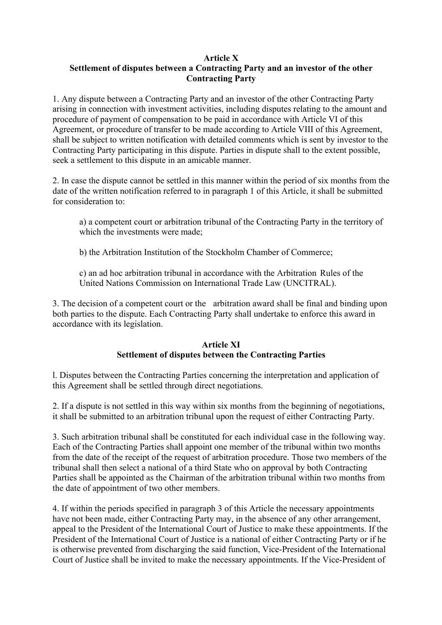## **Article X**

# **Settlement of disputes between a Contracting Party and an investor of the other Contracting Party**

1. Any dispute between a Contracting Party and an investor of the other Contracting Party arising in connection with investment activities, including disputes relating to the amount and procedure of payment of compensation to be paid in accordance with Article VI of this Agreement, or procedure of transfer to be made according to Article VIII of this Agreement, shall be subject to written notification with detailed comments which is sent by investor to the Contracting Party participating in this dispute. Parties in dispute shall to the extent possible, seek a settlement to this dispute in an amicable manner.

2. In case the dispute cannot be settled in this manner within the period of six months from the date of the written notification referred to in paragraph 1 of this Article, it shall be submitted for consideration to:

a) a competent court or arbitration tribunal of the Contracting Party in the territory of which the investments were made:

b) the Arbitration Institution of the Stockholm Chamber of Commerce;

c) an ad hoc arbitration tribunal in accordance with the Arbitration Rules of the United Nations Commission on International Trade Law (UNCITRAL).

3. The decision of a competent court or the arbitration award shall be final and binding upon both parties to the dispute. Each Contracting Party shall undertake to enforce this award in accordance with its legislation.

### **Article XI Settlement of disputes between the Contracting Parties**

l. Disputes between the Contracting Parties concerning the interpretation and application of this Agreement shall be settled through direct negotiations.

2. If a dispute is not settled in this way within six months from the beginning of negotiations, it shall be submitted to an arbitration tribunal upon the request of either Contracting Party.

3. Such arbitration tribunal shall be constituted for each individual case in the following way. Each of the Contracting Parties shall appoint one member of the tribunal within two months from the date of the receipt of the request of arbitration procedure. Those two members of the tribunal shall then select a national of a third State who on approval by both Contracting Parties shall be appointed as the Chairman of the arbitration tribunal within two months from the date of appointment of two other members.

4. If within the periods specified in paragraph 3 of this Article the necessary appointments have not been made, either Contracting Party may, in the absence of any other arrangement, appeal to the President of the International Court of Justice to make these appointments. If the President of the International Court of Justice is a national of either Contracting Party or if he is otherwise prevented from discharging the said function, Vice-President of the International Court of Justice shall be invited to make the necessary appointments. If the Vice-President of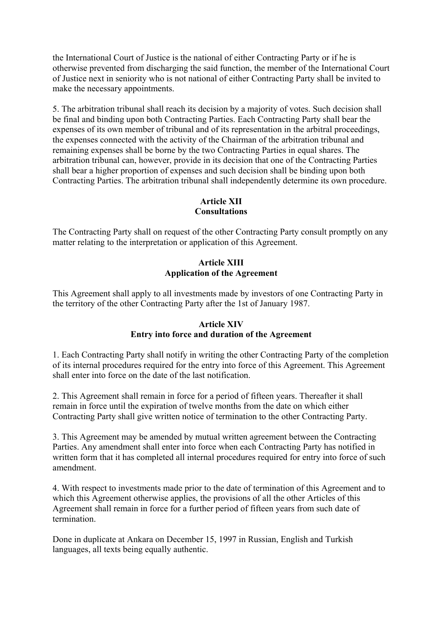the International Court of Justice is the national of either Contracting Party or if he is otherwise prevented from discharging the said function, the member of the International Court of Justice next in seniority who is not national of either Contracting Party shall be invited to make the necessary appointments.

5. The arbitration tribunal shall reach its decision by a majority of votes. Such decision shall be final and binding upon both Contracting Parties. Each Contracting Party shall bear the expenses of its own member of tribunal and of its representation in the arbitral proceedings, the expenses connected with the activity of the Chairman of the arbitration tribunal and remaining expenses shall be borne by the two Contracting Parties in equal shares. The arbitration tribunal can, however, provide in its decision that one of the Contracting Parties shall bear a higher proportion of expenses and such decision shall be binding upon both Contracting Parties. The arbitration tribunal shall independently determine its own procedure.

# **Article XII Consultations**

The Contracting Party shall on request of the other Contracting Party consult promptly on any matter relating to the interpretation or application of this Agreement.

# **Article XIII Application of the Agreement**

This Agreement shall apply to all investments made by investors of one Contracting Party in the territory of the other Contracting Party after the 1st of January 1987.

# **Article XIV Entry into force and duration of the Agreement**

1. Each Contracting Party shall notify in writing the other Contracting Party of the completion of its internal procedures required for the entry into force of this Agreement. This Agreement shall enter into force on the date of the last notification.

2. This Agreement shall remain in force for a period of fifteen years. Thereafter it shall remain in force until the expiration of twelve months from the date on which either Contracting Party shall give written notice of termination to the other Contracting Party.

3. This Agreement may be amended by mutual written agreement between the Contracting Parties. Any amendment shall enter into force when each Contracting Party has notified in written form that it has completed all internal procedures required for entry into force of such amendment.

4. With respect to investments made prior to the date of termination of this Agreement and to which this Agreement otherwise applies, the provisions of all the other Articles of this Agreement shall remain in force for a further period of fifteen years from such date of termination.

Done in duplicate at Ankara on December 15, 1997 in Russian, English and Turkish languages, all texts being equally authentic.